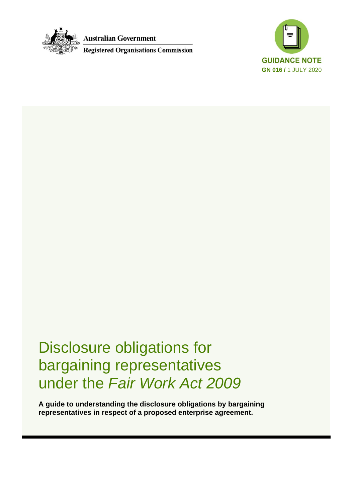

**Australian Government** 

**Registered Organisations Commission** 



Disclosure obligations for bargaining representatives under the *Fair Work Act 2009*

**A guide to understanding the disclosure obligations by bargaining representatives in respect of a proposed enterprise agreement.**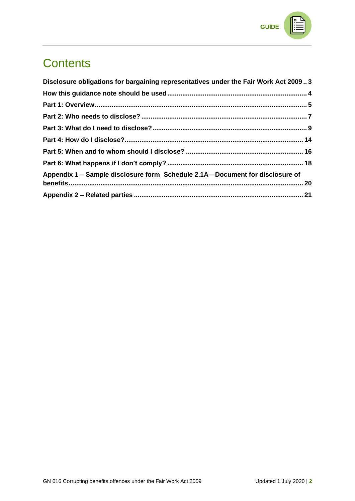

# **Contents**

| Disclosure obligations for bargaining representatives under the Fair Work Act 20093 |  |
|-------------------------------------------------------------------------------------|--|
|                                                                                     |  |
|                                                                                     |  |
|                                                                                     |  |
|                                                                                     |  |
|                                                                                     |  |
|                                                                                     |  |
|                                                                                     |  |
| Appendix 1 – Sample disclosure form Schedule 2.1A—Document for disclosure of        |  |
|                                                                                     |  |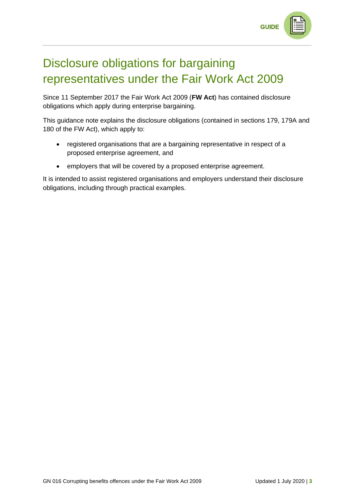

# <span id="page-2-0"></span>Disclosure obligations for bargaining representatives under the Fair Work Act 2009

Since 11 September 2017 the Fair Work Act 2009 (**FW Act**) has contained disclosure obligations which apply during enterprise bargaining.

This guidance note explains the disclosure obligations (contained in sections 179, 179A and 180 of the FW Act), which apply to:

- registered organisations that are a bargaining representative in respect of a proposed enterprise agreement, and
- employers that will be covered by a proposed enterprise agreement.

It is intended to assist registered organisations and employers understand their disclosure obligations, including through practical examples.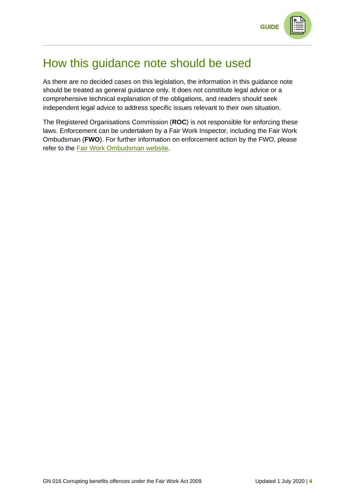

## <span id="page-3-0"></span>How this guidance note should be used

As there are no decided cases on this legislation, the information in this guidance note should be treated as general guidance only. It does not constitute legal advice or a comprehensive technical explanation of the obligations, and readers should seek independent legal advice to address specific issues relevant to their own situation.

The Registered Organisations Commission (**ROC**) is not responsible for enforcing these laws. Enforcement can be undertaken by a Fair Work Inspector, including the Fair Work Ombudsman (**FWO**). For further information on enforcement action by the FWO, please refer to the [Fair Work Ombudsman website.](https://www.fairwork.gov.au/)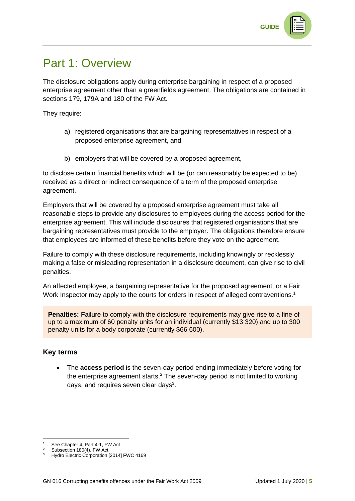

## <span id="page-4-0"></span>Part 1: Overview

The disclosure obligations apply during enterprise bargaining in respect of a proposed enterprise agreement other than a greenfields agreement. The obligations are contained in sections 179, 179A and 180 of the FW Act.

They require:

- a) registered organisations that are bargaining representatives in respect of a proposed enterprise agreement, and
- b) employers that will be covered by a proposed agreement,

to disclose certain financial benefits which will be (or can reasonably be expected to be) received as a direct or indirect consequence of a term of the proposed enterprise agreement.

Employers that will be covered by a proposed enterprise agreement must take all reasonable steps to provide any disclosures to employees during the access period for the enterprise agreement. This will include disclosures that registered organisations that are bargaining representatives must provide to the employer. The obligations therefore ensure that employees are informed of these benefits before they vote on the agreement.

Failure to comply with these disclosure requirements, including knowingly or recklessly making a false or misleading representation in a disclosure document, can give rise to civil penalties.

An affected employee, a bargaining representative for the proposed agreement, or a Fair Work Inspector may apply to the courts for orders in respect of alleged contraventions.<sup>1</sup>

**Penalties:** Failure to comply with the disclosure requirements may give rise to a fine of up to a maximum of 60 penalty units for an individual (currently \$13 320) and up to 300 penalty units for a body corporate (currently \$66 600).

### **Key terms**

• The **access period** is the seven-day period ending immediately before voting for the enterprise agreement starts.<sup>2</sup> The seven-day period is not limited to working days, and requires seven clear days $3$ .

See Chapter 4, Part 4-1, FW Act

Subsection 180(4), FW Act

<sup>&</sup>lt;sup>3</sup> Hydro Electric Corporation [2014] FWC 4169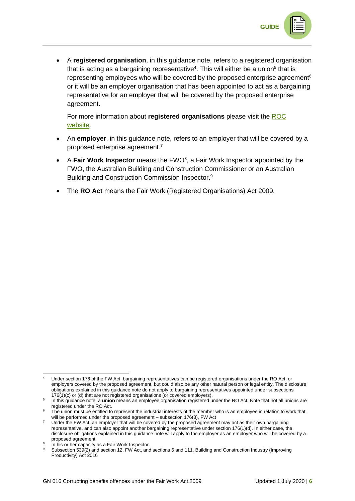

• A **registered organisation**, in this guidance note, refers to a registered organisation that is acting as a bargaining representative<sup>4</sup>. This will either be a union<sup>5</sup> that is representing employees who will be covered by the proposed enterprise agreement<sup>6</sup> or it will be an employer organisation that has been appointed to act as a bargaining representative for an employer that will be covered by the proposed enterprise agreement.

For more information about **registered organisations** please visit the [ROC](https://www.roc.gov.au/)  [website.](https://www.roc.gov.au/)

- An **employer**, in this guidance note, refers to an employer that will be covered by a proposed enterprise agreement.<sup>7</sup>
- A Fair Work Inspector means the FWO<sup>8</sup>, a Fair Work Inspector appointed by the FWO, the Australian Building and Construction Commissioner or an Australian Building and Construction Commission Inspector.<sup>9</sup>
- The **RO Act** means the Fair Work (Registered Organisations) Act 2009.

<sup>4</sup> Under section 176 of the FW Act, bargaining representatives can be registered organisations under the RO Act, or employers covered by the proposed agreement, but could also be any other natural person or legal entity. The disclosure obligations explained in this guidance note do not apply to bargaining representatives appointed under subsections 176(1)(c) or (d) that are not registered organisations (or covered employers).

<sup>5</sup> In this guidance note, a **union** means an employee organisation registered under the RO Act. Note that not all unions are registered under the RO Act.

The union must be entitled to represent the industrial interests of the member who is an employee in relation to work that will be performed under the proposed agreement – subsection 176(3), FW Act

<sup>&</sup>lt;sup>7</sup> Under the FW Act, an employer that will be covered by the proposed agreement may act as their own bargaining representative, and can also appoint another bargaining representative under section 176(1)(d). In either case, the disclosure obligations explained in this guidance note will apply to the employer as an employer who will be covered by a proposed agreement.

<sup>8</sup> In his or her capacity as a Fair Work Inspector.

Subsection 539(2) and section 12, FW Act, and sections 5 and 111, Building and Construction Industry (Improving Productivity) Act 2016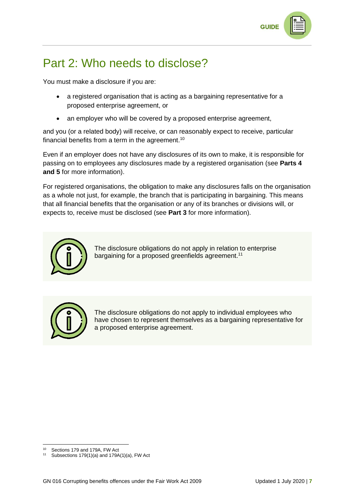

## <span id="page-6-0"></span>Part 2: Who needs to disclose?

You must make a disclosure if you are:

- a registered organisation that is acting as a bargaining representative for a proposed enterprise agreement, or
- an employer who will be covered by a proposed enterprise agreement,

and you (or a related body) will receive, or can reasonably expect to receive, particular financial benefits from a term in the agreement.<sup>10</sup>

Even if an employer does not have any disclosures of its own to make, it is responsible for passing on to employees any disclosures made by a registered organisation (see **Parts 4 and 5** for more information).

For registered organisations, the obligation to make any disclosures falls on the organisation as a whole not just, for example, the branch that is participating in bargaining. This means that all financial benefits that the organisation or any of its branches or divisions will, or expects to, receive must be disclosed (see **Part 3** for more information).



The disclosure obligations do not apply in relation to enterprise bargaining for a proposed greenfields agreement.<sup>11</sup>



The disclosure obligations do not apply to individual employees who have chosen to represent themselves as a bargaining representative for a proposed enterprise agreement.

<sup>10</sup> Sections 179 and 179A, FW Act

<sup>&</sup>lt;sup>11</sup> Subsections 179(1)(a) and 179A(1)(a), FW Act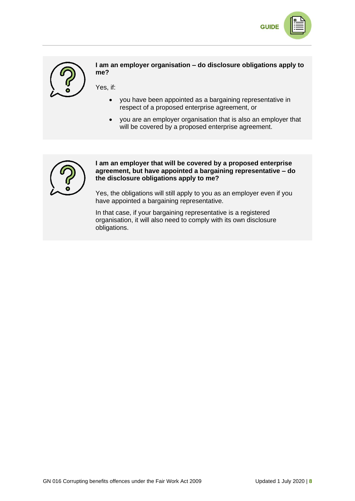



**I am an employer organisation – do disclosure obligations apply to me?**

Yes, if:

- you have been appointed as a bargaining representative in respect of a proposed enterprise agreement, or
- you are an employer organisation that is also an employer that will be covered by a proposed enterprise agreement.



#### **I am an employer that will be covered by a proposed enterprise agreement, but have appointed a bargaining representative – do the disclosure obligations apply to me?**

Yes, the obligations will still apply to you as an employer even if you have appointed a bargaining representative.

In that case, if your bargaining representative is a registered organisation, it will also need to comply with its own disclosure obligations.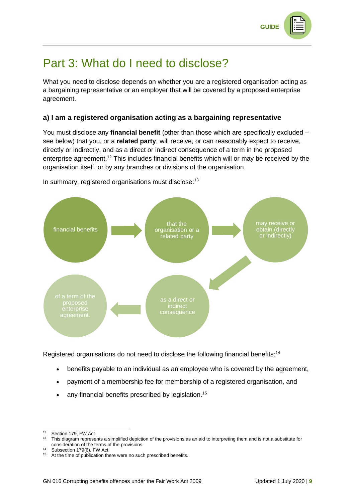

## <span id="page-8-0"></span>Part 3: What do I need to disclose?

What you need to disclose depends on whether you are a registered organisation acting as a bargaining representative or an employer that will be covered by a proposed enterprise agreement.

### **a) I am a registered organisation acting as a bargaining representative**

You must disclose any **financial benefit** (other than those which are specifically excluded – see below) that you, or a **related party**, will receive, or can reasonably expect to receive, directly or indirectly, and as a direct or indirect consequence of a term in the proposed enterprise agreement.<sup>12</sup> This includes financial benefits which will or may be received by the organisation itself, or by any branches or divisions of the organisation.



In summary, registered organisations must disclose:<sup>13</sup>

Registered organisations do not need to disclose the following financial benefits:<sup>14</sup>

- benefits payable to an individual as an employee who is covered by the agreement,
- payment of a membership fee for membership of a registered organisation, and
- any financial benefits prescribed by legislation.<sup>15</sup>

<sup>12</sup> Section 179, FW Act

<sup>&</sup>lt;sup>13</sup> This diagram represents a simplified depiction of the provisions as an aid to interpreting them and is not a substitute for consideration of the terms of the provisions.

<sup>14</sup> Subsection 179(6), FW Act

<sup>&</sup>lt;sup>15</sup> At the time of publication there were no such prescribed benefits.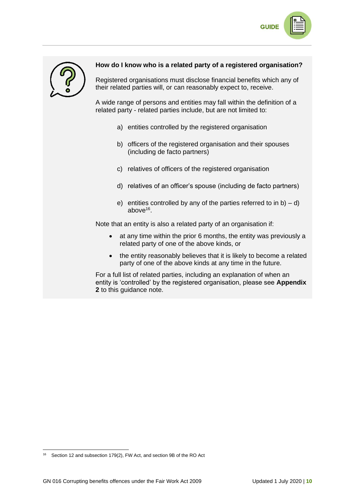



### **How do I know who is a related party of a registered organisation?**

Registered organisations must disclose financial benefits which any of their related parties will, or can reasonably expect to, receive.

A wide range of persons and entities may fall within the definition of a related party - related parties include, but are not limited to:

- a) entities controlled by the registered organisation
- b) officers of the registered organisation and their spouses (including de facto partners)
- c) relatives of officers of the registered organisation
- d) relatives of an officer's spouse (including de facto partners)
- e) entities controlled by any of the parties referred to in  $b$ ) d) above<sup>16</sup> .

Note that an entity is also a related party of an organisation if:

- at any time within the prior 6 months, the entity was previously a related party of one of the above kinds, or
- the entity reasonably believes that it is likely to become a related party of one of the above kinds at any time in the future.

For a full list of related parties, including an explanation of when an entity is 'controlled' by the registered organisation, please see **Appendix 2** to this guidance note.

<sup>16</sup> Section 12 and subsection 179(2), FW Act, and section 9B of the RO Act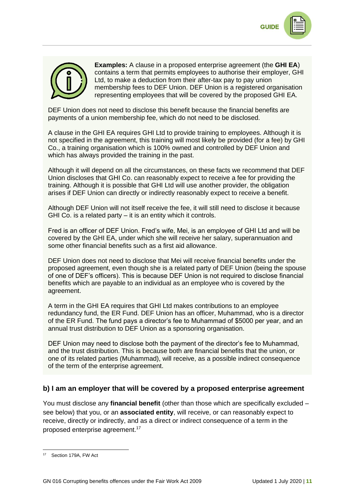



**Examples:** A clause in a proposed enterprise agreement (the **GHI EA**) contains a term that permits employees to authorise their employer, GHI Ltd, to make a deduction from their after-tax pay to pay union membership fees to DEF Union. DEF Union is a registered organisation representing employees that will be covered by the proposed GHI EA.

DEF Union does not need to disclose this benefit because the financial benefits are payments of a union membership fee, which do not need to be disclosed.

A clause in the GHI EA requires GHI Ltd to provide training to employees. Although it is not specified in the agreement, this training will most likely be provided (for a fee) by GHI Co., a training organisation which is 100% owned and controlled by DEF Union and which has always provided the training in the past.

Although it will depend on all the circumstances, on these facts we recommend that DEF Union discloses that GHI Co. can reasonably expect to receive a fee for providing the training. Although it is possible that GHI Ltd will use another provider, the obligation arises if DEF Union can directly or indirectly reasonably expect to receive a benefit.

Although DEF Union will not itself receive the fee, it will still need to disclose it because GHI Co. is a related party – it is an entity which it controls.

Fred is an officer of DEF Union. Fred's wife, Mei, is an employee of GHI Ltd and will be covered by the GHI EA, under which she will receive her salary, superannuation and some other financial benefits such as a first aid allowance.

DEF Union does not need to disclose that Mei will receive financial benefits under the proposed agreement, even though she is a related party of DEF Union (being the spouse of one of DEF's officers). This is because DEF Union is not required to disclose financial benefits which are payable to an individual as an employee who is covered by the agreement.

A term in the GHI EA requires that GHI Ltd makes contributions to an employee redundancy fund, the ER Fund. DEF Union has an officer, Muhammad, who is a director of the ER Fund. The fund pays a director's fee to Muhammad of \$5000 per year, and an annual trust distribution to DEF Union as a sponsoring organisation.

DEF Union may need to disclose both the payment of the director's fee to Muhammad, and the trust distribution. This is because both are financial benefits that the union, or one of its related parties (Muhammad), will receive, as a possible indirect consequence of the term of the enterprise agreement.

### **b) I am an employer that will be covered by a proposed enterprise agreement**

You must disclose any **financial benefit** (other than those which are specifically excluded – see below) that you, or an **associated entity**, will receive, or can reasonably expect to receive, directly or indirectly, and as a direct or indirect consequence of a term in the proposed enterprise agreement. 17

<sup>17</sup> Section 179A, FW Act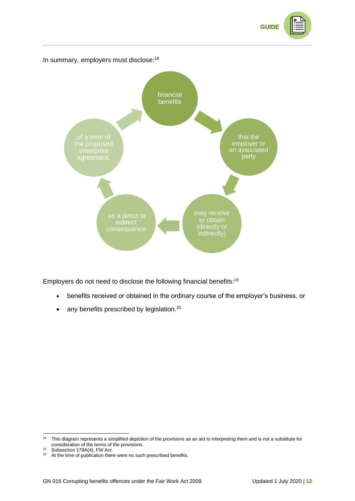



Employers do not need to disclose the following financial benefits:<sup>19</sup>

- benefits received or obtained in the ordinary course of the employer's business, or
- any benefits prescribed by legislation.<sup>20</sup>

<sup>&</sup>lt;sup>18</sup> This diagram represents a simplified depiction of the provisions as an aid to interpreting them and is not a substitute for consideration of the terms of the provisions.

<sup>&</sup>lt;sup>19</sup> Subsection 179A(4), FW Act

<sup>&</sup>lt;sup>20</sup> At the time of publication there were no such prescribed benefits.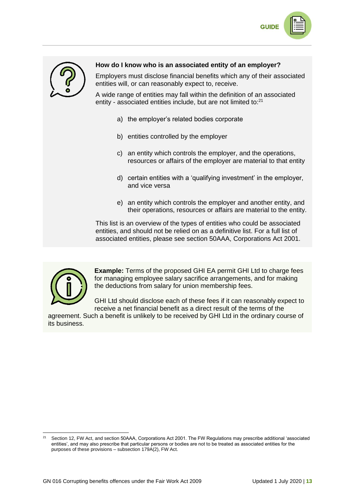



### **How do I know who is an associated entity of an employer?**

Employers must disclose financial benefits which any of their associated entities will, or can reasonably expect to, receive.

A wide range of entities may fall within the definition of an associated entity - associated entities include, but are not limited to: $21$ 

- a) the employer's related bodies corporate
- b) entities controlled by the employer
- c) an entity which controls the employer, and the operations, resources or affairs of the employer are material to that entity
- d) certain entities with a 'qualifying investment' in the employer, and vice versa
- e) an entity which controls the employer and another entity, and their operations, resources or affairs are material to the entity.

This list is an overview of the types of entities who could be associated entities, and should not be relied on as a definitive list. For a full list of associated entities, please see section 50AAA, Corporations Act 2001.



**Example:** Terms of the proposed GHI EA permit GHI Ltd to charge fees for managing employee salary sacrifice arrangements, and for making the deductions from salary for union membership fees.

GHI Ltd should disclose each of these fees if it can reasonably expect to receive a net financial benefit as a direct result of the terms of the

agreement. Such a benefit is unlikely to be received by GHI Ltd in the ordinary course of its business.

<sup>21</sup> Section 12, FW Act, and section 50AAA, Corporations Act 2001. The FW Regulations may prescribe additional 'associated entities', and may also prescribe that particular persons or bodies are not to be treated as associated entities for the purposes of these provisions – subsection 179A(2), FW Act.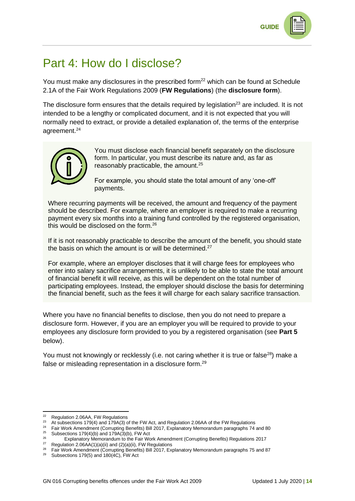# <span id="page-13-0"></span>Part 4: How do I disclose?

You must make any disclosures in the prescribed form<sup>22</sup> which can be found at Schedule 2.1A of the Fair Work Regulations 2009 (**FW Regulations**) (the **disclosure form**).

The disclosure form ensures that the details required by legislation<sup>23</sup> are included. It is not intended to be a lengthy or complicated document, and it is not expected that you will normally need to extract, or provide a detailed explanation of, the terms of the enterprise agreement.<sup>24</sup>



You must disclose each financial benefit separately on the disclosure form. In particular, you must describe its nature and, as far as reasonably practicable, the amount.<sup>25</sup>

For example, you should state the total amount of any 'one-off' payments.

Where recurring payments will be received, the amount and frequency of the payment should be described. For example, where an employer is required to make a recurring payment every six months into a training fund controlled by the registered organisation, this would be disclosed on the form.<sup>26</sup>

If it is not reasonably practicable to describe the amount of the benefit, you should state the basis on which the amount is or will be determined.<sup>27</sup>

For example, where an employer discloses that it will charge fees for employees who enter into salary sacrifice arrangements, it is unlikely to be able to state the total amount of financial benefit it will receive, as this will be dependent on the total number of participating employees. Instead, the employer should disclose the basis for determining the financial benefit, such as the fees it will charge for each salary sacrifice transaction.

Where you have no financial benefits to disclose, then you do not need to prepare a disclosure form. However, if you are an employer you will be required to provide to your employees any disclosure form provided to you by a registered organisation (see **Part 5** below).

You must not knowingly or recklessly (i.e. not caring whether it is true or false<sup>28</sup>) make a false or misleading representation in a disclosure form.<sup>29</sup>

<sup>22</sup> Regulation 2.06AA, FW Regulations

<sup>&</sup>lt;sup>23</sup> At subsections 179(4) and 179A(3) of the FW Act, and Regulation 2.06AA of the FW Regulations

<sup>&</sup>lt;sup>24</sup> Fair Work Amendment (Corrupting Benefits) Bill 2017, Explanatory Memorandum paragraphs 74 and 80 <sup>25</sup> Subsections 179(4)(b) and 179A( $\bar{3}$ )(b), FW Act<sup>26</sup>

Explanatory Memorandum to the Fair Work Amendment (Corrupting Benefits) Regulations 2017

<sup>&</sup>lt;sup>27</sup> Regulation 2.06AA(1)(a)(ii) and (2)(a)(ii), FW Regulations

<sup>&</sup>lt;sup>28</sup> Fair Work Amendment (Corrupting Benefits) Bill 2017, Explanatory Memorandum paragraphs 75 and 87

 $29$  Subsections 179(5) and 180(4C), FW Act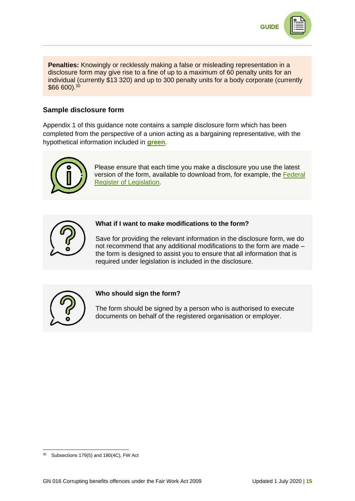

**Penalties:** Knowingly or recklessly making a false or misleading representation in a disclosure form may give rise to a fine of up to a maximum of 60 penalty units for an individual (currently \$13 320) and up to 300 penalty units for a body corporate (currently \$66 600).<sup>30</sup>

### **Sample disclosure form**

Appendix 1 of this guidance note contains a sample disclosure form which has been completed from the perspective of a union acting as a bargaining representative, with the hypothetical information included in **green**.



Please ensure that each time you make a disclosure you use the latest version of the form, available to download from, for example, the [Federal](https://www.legislation.gov.au/)  [Register of Legislation.](https://www.legislation.gov.au/)



### **What if I want to make modifications to the form?**

Save for providing the relevant information in the disclosure form, we do not recommend that any additional modifications to the form are made – the form is designed to assist you to ensure that all information that is required under legislation is included in the disclosure.



### **Who should sign the form?**

The form should be signed by a person who is authorised to execute documents on behalf of the registered organisation or employer.

 $30$  Subsections 179(5) and 180(4C), FW Act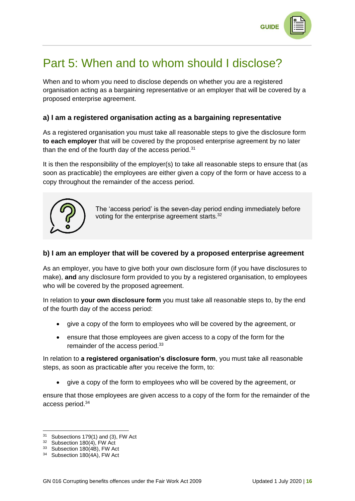

# <span id="page-15-0"></span>Part 5: When and to whom should I disclose?

When and to whom you need to disclose depends on whether you are a registered organisation acting as a bargaining representative or an employer that will be covered by a proposed enterprise agreement.

### **a) I am a registered organisation acting as a bargaining representative**

As a registered organisation you must take all reasonable steps to give the disclosure form **to each employer** that will be covered by the proposed enterprise agreement by no later than the end of the fourth day of the access period. $31$ 

It is then the responsibility of the employer(s) to take all reasonable steps to ensure that (as soon as practicable) the employees are either given a copy of the form or have access to a copy throughout the remainder of the access period.



The 'access period' is the seven-day period ending immediately before voting for the enterprise agreement starts.<sup>32</sup>

### **b) I am an employer that will be covered by a proposed enterprise agreement**

As an employer, you have to give both your own disclosure form (if you have disclosures to make), **and** any disclosure form provided to you by a registered organisation, to employees who will be covered by the proposed agreement.

In relation to **your own disclosure form** you must take all reasonable steps to, by the end of the fourth day of the access period:

- give a copy of the form to employees who will be covered by the agreement, or
- ensure that those employees are given access to a copy of the form for the remainder of the access period.<sup>33</sup>

In relation to **a registered organisation's disclosure form**, you must take all reasonable steps, as soon as practicable after you receive the form, to:

• give a copy of the form to employees who will be covered by the agreement, or

ensure that those employees are given access to a copy of the form for the remainder of the access period.<sup>34</sup>

<sup>31</sup> Subsections 179(1) and (3), FW Act

<sup>32</sup> Subsection 180(4), FW Act

<sup>33</sup> Subsection 180(4B), FW Act

<sup>34</sup> Subsection 180(4A), FW Act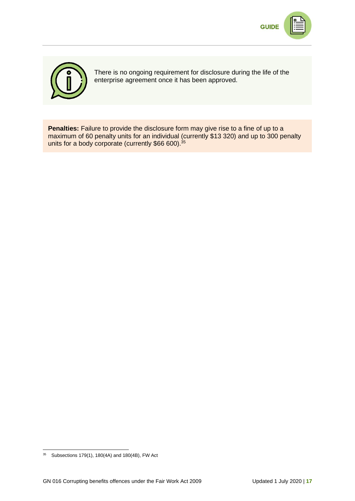



There is no ongoing requirement for disclosure during the life of the enterprise agreement once it has been approved.

**Penalties:** Failure to provide the disclosure form may give rise to a fine of up to a maximum of 60 penalty units for an individual (currently \$13 320) and up to 300 penalty units for a body corporate (currently \$66 600).<sup>35</sup>

<sup>35</sup> Subsections 179(1), 180(4A) and 180(4B), FW Act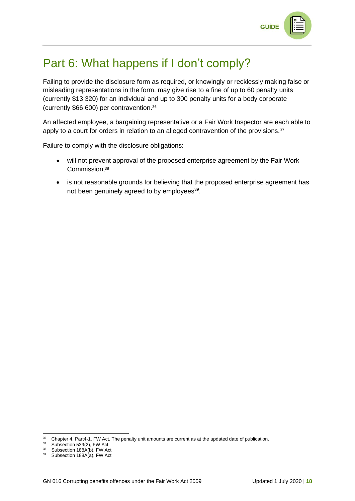

# <span id="page-17-0"></span>Part 6: What happens if I don't comply?

Failing to provide the disclosure form as required, or knowingly or recklessly making false or misleading representations in the form, may give rise to a fine of up to 60 penalty units (currently \$13 320) for an individual and up to 300 penalty units for a body corporate (currently \$66 600) per contravention.<sup>36</sup>

An affected employee, a bargaining representative or a Fair Work Inspector are each able to apply to a court for orders in relation to an alleged contravention of the provisions.<sup>37</sup>

Failure to comply with the disclosure obligations:

- will not prevent approval of the proposed enterprise agreement by the Fair Work Commission, 38
- is not reasonable grounds for believing that the proposed enterprise agreement has not been genuinely agreed to by employees<sup>39</sup>.

<sup>&</sup>lt;sup>36</sup> Chapter 4, Part4-1, FW Act. The penalty unit amounts are current as at the updated date of publication.

 $37$  Subsection 539(2), FW Act<br> $38$  Subsection 1884(b), FW Act

Subsection 188A(b), FW Act

<sup>39</sup> Subsection 188A(a), FW Act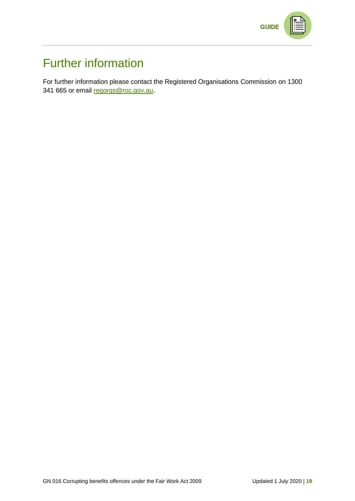

# Further information

For further information please contact the Registered Organisations Commission on 1300 341 665 or email [regorgs@roc.gov.au.](mailto:regorgs@roc.gov.au)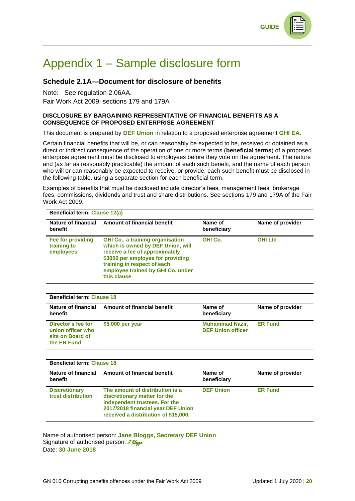**GUIDE** 



# <span id="page-19-0"></span>Appendix 1 – Sample disclosure form

### **Schedule 2.1A—Document for disclosure of benefits**

Note: See regulation 2.06AA. Fair Work Act 2009, sections 179 and 179A

#### **DISCLOSURE BY BARGAINING REPRESENTATIVE OF FINANCIAL BENEFITS AS A CONSEQUENCE OF PROPOSED ENTERPRISE AGREEMENT**

This document is prepared by **DEF Union** in relation to a proposed enterprise agreement **GHI EA.**

Certain financial benefits that will be, or can reasonably be expected to be, received or obtained as a direct or indirect consequence of the operation of one or more terms (**beneficial terms**) of a proposed enterprise agreement must be disclosed to employees before they vote on the agreement. The nature and (as far as reasonably practicable) the amount of each such benefit, and the name of each person who will or can reasonably be expected to receive, or provide, each such benefit must be disclosed in the following table, using a separate section for each beneficial term.

Examples of benefits that must be disclosed include director's fees, management fees, brokerage fees, commissions, dividends and trust and share distributions. See sections 179 and 179A of the Fair Work Act 2009.

| <b>Beneficial term: Clause 12(a)</b><br>Nature of financial<br>benefit | <b>Amount of financial benefit</b>                                                                                                                                                                                                     | Name of<br>beneficiary | Name of provider |
|------------------------------------------------------------------------|----------------------------------------------------------------------------------------------------------------------------------------------------------------------------------------------------------------------------------------|------------------------|------------------|
| Fee for providing<br>training to<br>employees                          | <b>GHI Co., a training organisation</b><br>which is owned by DEF Union, will<br>receive a fee of approximately<br>\$3000 per employee for providing<br>training in respect of each<br>employee trained by GHI Co. under<br>this clause | <b>GHI Co.</b>         | <b>GHI Ltd</b>   |

| <b>Beneficial term: Clause 18</b>                                          |                                    |                                                    |                  |  |  |  |
|----------------------------------------------------------------------------|------------------------------------|----------------------------------------------------|------------------|--|--|--|
| Nature of financial<br>benefit                                             | <b>Amount of financial benefit</b> | Name of<br>beneficiary                             | Name of provider |  |  |  |
| Director's fee for<br>union officer who<br>sits on Board of<br>the ER Fund | \$5,000 per year                   | <b>Muhammad Nazir,</b><br><b>DEF Union officer</b> | <b>ER Fund</b>   |  |  |  |

| <b>Beneficial term: Clause 18</b>          |                                                                                                                                                                                |                        |                  |  |  |
|--------------------------------------------|--------------------------------------------------------------------------------------------------------------------------------------------------------------------------------|------------------------|------------------|--|--|
| benefit                                    | Nature of financial Amount of financial benefit                                                                                                                                | Name of<br>beneficiary | Name of provider |  |  |
| <b>Discretionary</b><br>trust distribution | The amount of distribution is a<br>discretionary matter for the<br>independent trustees. For the<br>2017/2018 financial year DEF Union<br>received a distribution of \$15,000. | <b>DEF Union</b>       | <b>ER Fund</b>   |  |  |

Name of authorised person: **Jane Bloggs, Secretary DEF Union** Signature of authorised person:  $\overline{JBløgg}$ Date: **30 June 2018**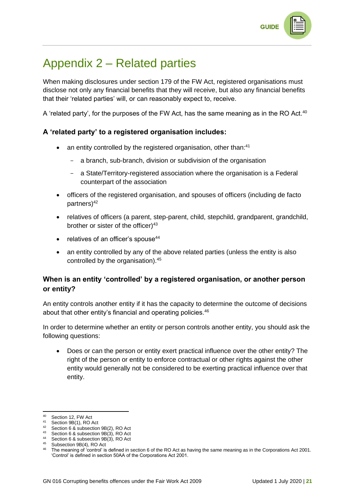# <span id="page-20-0"></span>Appendix 2 – Related parties

When making disclosures under section 179 of the FW Act, registered organisations must disclose not only any financial benefits that they will receive, but also any financial benefits that their 'related parties' will, or can reasonably expect to, receive.

A 'related party', for the purposes of the FW Act, has the same meaning as in the RO Act.<sup>40</sup>

## **A 'related party' to a registered organisation includes:**

- an entity controlled by the registered organisation, other than:<sup>41</sup>
	- a branch, sub-branch, division or subdivision of the organisation
	- a State/Territory-registered association where the organisation is a Federal counterpart of the association
- officers of the registered organisation, and spouses of officers (including de facto partners)<sup>42</sup>
- relatives of officers (a parent, step-parent, child, stepchild, grandparent, grandchild, brother or sister of the officer $)^{43}$
- relatives of an officer's spouse<sup>44</sup>
- an entity controlled by any of the above related parties (unless the entity is also controlled by the organisation).<sup>45</sup>

### **When is an entity 'controlled' by a registered organisation, or another person or entity?**

An entity controls another entity if it has the capacity to determine the outcome of decisions about that other entity's financial and operating policies.<sup>46</sup>

In order to determine whether an entity or person controls another entity, you should ask the following questions:

• Does or can the person or entity exert practical influence over the other entity? The right of the person or entity to enforce contractual or other rights against the other entity would generally not be considered to be exerting practical influence over that entity.

<sup>40</sup> Section 12, FW Act

<sup>41</sup> Section 9B(1), RO Act

<sup>42</sup> Section 6 & subsection 9B(2), RO Act

<sup>43</sup> Section 6 & subsection 9B(3), RO Act

<sup>44</sup> Section 6 & subsection 9B(3), RO Act

Subsection 9B(4), RO Act

<sup>&</sup>lt;sup>46</sup> The meaning of 'control' is defined in section 6 of the RO Act as having the same meaning as in the Corporations Act 2001. 'Control' is defined in section 50AA of the Corporations Act 2001.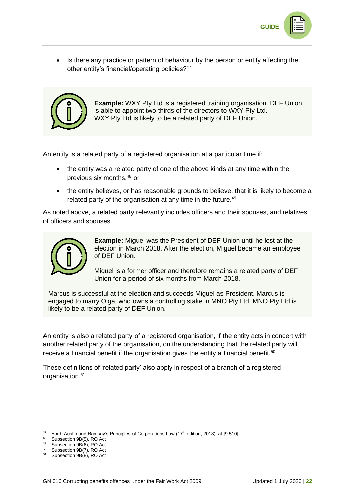

• Is there any practice or pattern of behaviour by the person or entity affecting the other entity's financial/operating policies?<sup>47</sup>



**Example:** WXY Pty Ltd is a registered training organisation. DEF Union is able to appoint two-thirds of the directors to WXY Pty Ltd. WXY Pty Ltd is likely to be a related party of DEF Union.

An entity is a related party of a registered organisation at a particular time if:

- the entity was a related party of one of the above kinds at any time within the previous six months,<sup>48</sup> or
- the entity believes, or has reasonable grounds to believe, that it is likely to become a related party of the organisation at any time in the future.<sup>49</sup>

As noted above, a related party relevantly includes officers and their spouses, and relatives of officers and spouses.



**Example:** Miguel was the President of DEF Union until he lost at the election in March 2018. After the election, Miguel became an employee of DEF Union.

Miguel is a former officer and therefore remains a related party of DEF Union for a period of six months from March 2018.

Marcus is successful at the election and succeeds Miguel as President. Marcus is engaged to marry Olga, who owns a controlling stake in MNO Pty Ltd. MNO Pty Ltd is likely to be a related party of DEF Union.

An entity is also a related party of a registered organisation, if the entity acts in concert with another related party of the organisation, on the understanding that the related party will receive a financial benefit if the organisation gives the entity a financial benefit.<sup>50</sup>

These definitions of 'related party' also apply in respect of a branch of a registered organisation.<sup>51</sup>

 $47$  Ford, Austin and Ramsay's Principles of Corporations Law (17<sup>th</sup> edition, 2018), at [9.510]

<sup>48</sup> Subsection 9B(5), RO Act

<sup>49</sup> Subsection 9B(6), RO Act

<sup>50</sup> Subsection 9B(7), RO Act

<sup>51</sup> Subsection 9B(8), RO Act